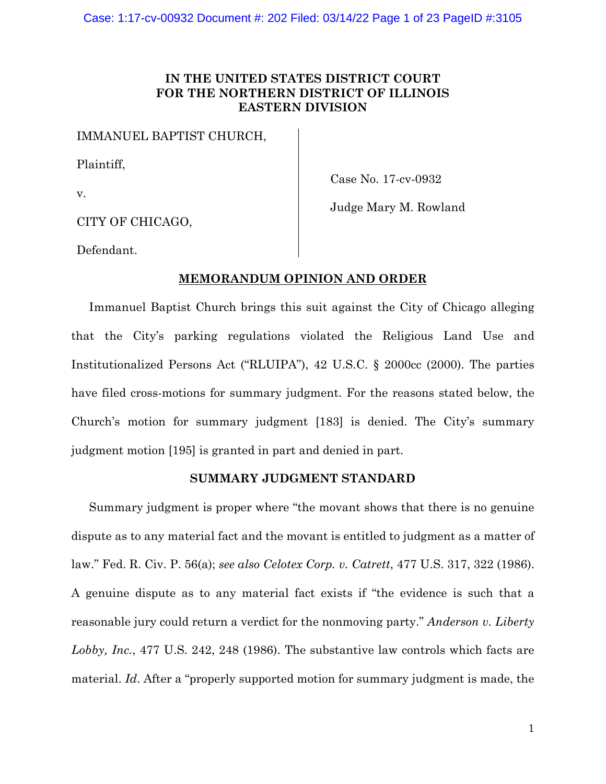# **IN THE UNITED STATES DISTRICT COURT FOR THE NORTHERN DISTRICT OF ILLINOIS EASTERN DIVISION**

IMMANUEL BAPTIST CHURCH,

Plaintiff,

v.

Case No. 17-cv-0932

Judge Mary M. Rowland

CITY OF CHICAGO,

Defendant.

# **MEMORANDUM OPINION AND ORDER**

Immanuel Baptist Church brings this suit against the City of Chicago alleging that the City's parking regulations violated the Religious Land Use and Institutionalized Persons Act ("RLUIPA"), 42 U.S.C. § 2000cc (2000). The parties have filed cross-motions for summary judgment. For the reasons stated below, the Church's motion for summary judgment [183] is denied. The City's summary judgment motion [195] is granted in part and denied in part.

# **SUMMARY JUDGMENT STANDARD**

Summary judgment is proper where "the movant shows that there is no genuine dispute as to any material fact and the movant is entitled to judgment as a matter of law." Fed. R. Civ. P. 56(a); *see also Celotex Corp. v. Catrett*, 477 U.S. 317, 322 (1986). A genuine dispute as to any material fact exists if "the evidence is such that a reasonable jury could return a verdict for the nonmoving party." *Anderson v. Liberty Lobby, Inc.*, 477 U.S. 242, 248 (1986). The substantive law controls which facts are material. *Id*. After a "properly supported motion for summary judgment is made, the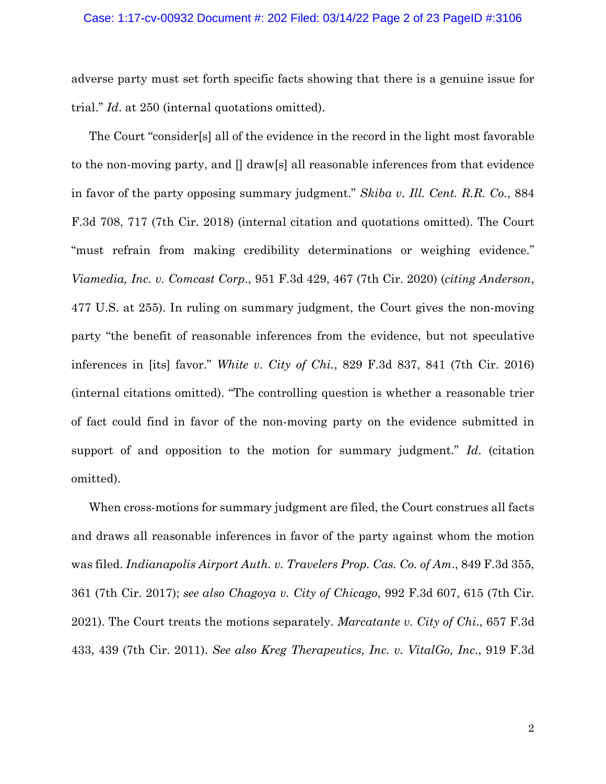adverse party must set forth specific facts showing that there is a genuine issue for trial." *Id*. at 250 (internal quotations omitted).

The Court "consider[s] all of the evidence in the record in the light most favorable to the non-moving party, and  $\iint_{\mathbb{R}} d\mathbf{x}$  all reasonable inferences from that evidence in favor of the party opposing summary judgment." *Skiba v. Ill. Cent. R.R. Co.*, 884 F.3d 708, 717 (7th Cir. 2018) (internal citation and quotations omitted). The Court "must refrain from making credibility determinations or weighing evidence." *Viamedia, Inc. v. Comcast Corp*., 951 F.3d 429, 467 (7th Cir. 2020) (*citing Anderson*, 477 U.S. at 255). In ruling on summary judgment, the Court gives the non-moving party "the benefit of reasonable inferences from the evidence, but not speculative inferences in [its] favor." *White v. City of Chi.*, 829 F.3d 837, 841 (7th Cir. 2016) (internal citations omitted). "The controlling question is whether a reasonable trier of fact could find in favor of the non-moving party on the evidence submitted in support of and opposition to the motion for summary judgment." *Id*. (citation omitted).

When cross-motions for summary judgment are filed, the Court construes all facts and draws all reasonable inferences in favor of the party against whom the motion was filed. *Indianapolis Airport Auth. v. Travelers Prop. Cas. Co. of Am*., 849 F.3d 355, 361 (7th Cir. 2017); *see also Chagoya v. City of Chicago*, 992 F.3d 607, 615 (7th Cir. 2021). The Court treats the motions separately. *Marcatante v. City of Chi*., 657 F.3d 433, 439 (7th Cir. 2011). *See also Kreg Therapeutics, Inc. v. VitalGo, Inc*., 919 F.3d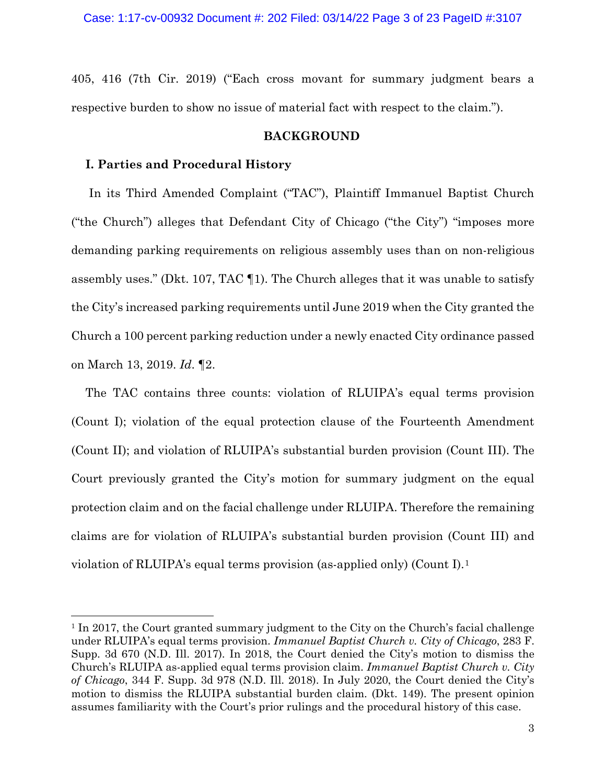405, 416 (7th Cir. 2019) ("Each cross movant for summary judgment bears a respective burden to show no issue of material fact with respect to the claim.").

# **BACKGROUND**

### **I. Parties and Procedural History**

In its Third Amended Complaint ("TAC"), Plaintiff Immanuel Baptist Church ("the Church") alleges that Defendant City of Chicago ("the City") "imposes more demanding parking requirements on religious assembly uses than on non-religious assembly uses." (Dkt. 107, TAC ¶1). The Church alleges that it was unable to satisfy the City's increased parking requirements until June 2019 when the City granted the Church a 100 percent parking reduction under a newly enacted City ordinance passed on March 13, 2019. *Id*. ¶2.

The TAC contains three counts: violation of RLUIPA's equal terms provision (Count I); violation of the equal protection clause of the Fourteenth Amendment (Count II); and violation of RLUIPA's substantial burden provision (Count III). The Court previously granted the City's motion for summary judgment on the equal protection claim and on the facial challenge under RLUIPA. Therefore the remaining claims are for violation of RLUIPA's substantial burden provision (Count III) and violation of RLUIPA's equal terms provision (as-applied only) (Count I).[1](#page-2-0)

<span id="page-2-0"></span><sup>1</sup> In 2017, the Court granted summary judgment to the City on the Church's facial challenge under RLUIPA's equal terms provision. *Immanuel Baptist Church v. City of Chicago*, 283 F. Supp. 3d 670 (N.D. Ill. 2017). In 2018, the Court denied the City's motion to dismiss the Church's RLUIPA as-applied equal terms provision claim. *Immanuel Baptist Church v. City of Chicago*, 344 F. Supp. 3d 978 (N.D. Ill. 2018). In July 2020, the Court denied the City's motion to dismiss the RLUIPA substantial burden claim. (Dkt. 149). The present opinion assumes familiarity with the Court's prior rulings and the procedural history of this case.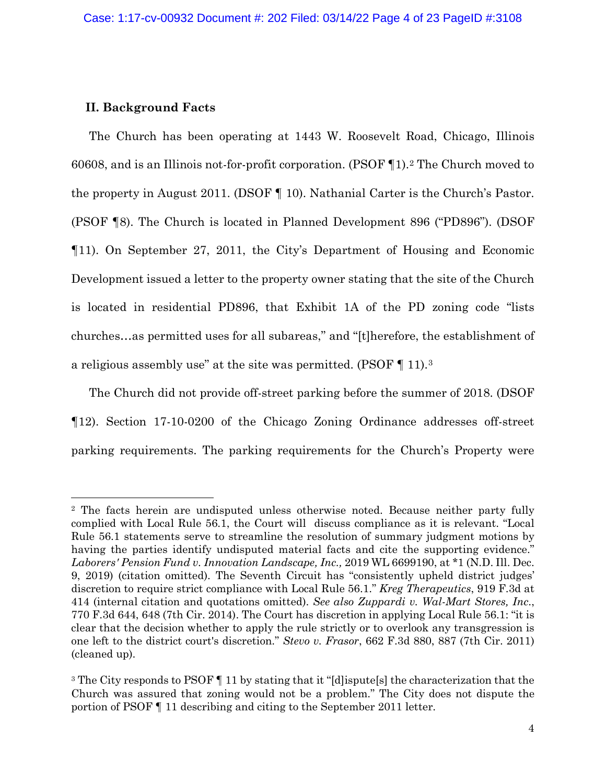# **II. Background Facts**

The Church has been operating at 1443 W. Roosevelt Road, Chicago, Illinois 60608, and is an Illinois not-for-profit corporation. (PSOF ¶1).[2](#page-3-0) The Church moved to the property in August 2011. (DSOF ¶ 10). Nathanial Carter is the Church's Pastor. (PSOF ¶8). The Church is located in Planned Development 896 ("PD896"). (DSOF ¶11). On September 27, 2011, the City's Department of Housing and Economic Development issued a letter to the property owner stating that the site of the Church is located in residential PD896, that Exhibit 1A of the PD zoning code "lists churches…as permitted uses for all subareas," and "[t]herefore, the establishment of a religious assembly use" at the site was permitted. (PSOF ¶ 11).[3](#page-3-1)

The Church did not provide off-street parking before the summer of 2018. (DSOF ¶12). Section 17-10-0200 of the Chicago Zoning Ordinance addresses off-street parking requirements. The parking requirements for the Church's Property were

<span id="page-3-0"></span><sup>2</sup> The facts herein are undisputed unless otherwise noted. Because neither party fully complied with Local Rule 56.1, the Court will discuss compliance as it is relevant. "Local Rule 56.1 statements serve to streamline the resolution of summary judgment motions by having the parties identify undisputed material facts and cite the supporting evidence." *Laborers' Pension Fund v. Innovation Landscape, Inc.,* 2019 WL 6699190, at \*1 (N.D. Ill. Dec. 9, 2019) (citation omitted). The Seventh Circuit has "consistently upheld district judges' discretion to require strict compliance with Local Rule 56.1." *Kreg Therapeutics*, 919 F.3d at 414 (internal citation and quotations omitted). *See also Zuppardi v. Wal-Mart Stores, Inc*., 770 F.3d 644, 648 (7th Cir. 2014). The Court has discretion in applying Local Rule 56.1: "it is clear that the decision whether to apply the rule strictly or to overlook any transgression is one left to the district court's discretion." *Stevo v. Frasor*, 662 F.3d 880, 887 (7th Cir. 2011) (cleaned up).

<span id="page-3-1"></span><sup>&</sup>lt;sup>3</sup> The City responds to PSOF  $\P$  11 by stating that it "[d]ispute[s] the characterization that the Church was assured that zoning would not be a problem." The City does not dispute the portion of PSOF ¶ 11 describing and citing to the September 2011 letter.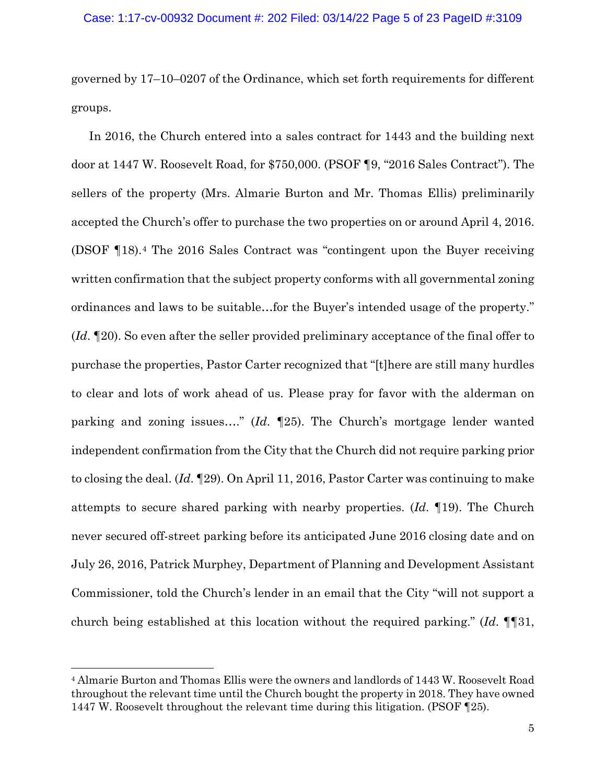governed by 17–10–0207 of the Ordinance, which set forth requirements for different groups.

In 2016, the Church entered into a sales contract for 1443 and the building next door at 1447 W. Roosevelt Road, for \$750,000. (PSOF ¶9, "2016 Sales Contract"). The sellers of the property (Mrs. Almarie Burton and Mr. Thomas Ellis) preliminarily accepted the Church's offer to purchase the two properties on or around April 4, 2016. (DSOF ¶18).[4](#page-4-0) The 2016 Sales Contract was "contingent upon the Buyer receiving written confirmation that the subject property conforms with all governmental zoning ordinances and laws to be suitable…for the Buyer's intended usage of the property." (*Id*. ¶20). So even after the seller provided preliminary acceptance of the final offer to purchase the properties, Pastor Carter recognized that "[t]here are still many hurdles to clear and lots of work ahead of us. Please pray for favor with the alderman on parking and zoning issues…." (*Id*. ¶25). The Church's mortgage lender wanted independent confirmation from the City that the Church did not require parking prior to closing the deal. (*Id*. ¶29). On April 11, 2016, Pastor Carter was continuing to make attempts to secure shared parking with nearby properties. (*Id*. ¶19). The Church never secured off-street parking before its anticipated June 2016 closing date and on July 26, 2016, Patrick Murphey, Department of Planning and Development Assistant Commissioner, told the Church's lender in an email that the City "will not support a church being established at this location without the required parking." (*Id*. ¶¶31,

<span id="page-4-0"></span><sup>4</sup> Almarie Burton and Thomas Ellis were the owners and landlords of 1443 W. Roosevelt Road throughout the relevant time until the Church bought the property in 2018. They have owned 1447 W. Roosevelt throughout the relevant time during this litigation. (PSOF ¶25).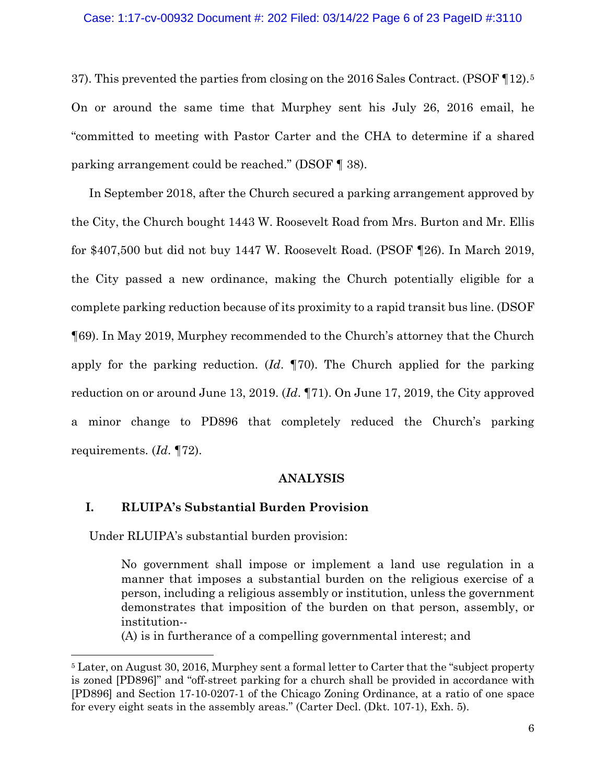#### Case: 1:17-cv-00932 Document #: 202 Filed: 03/14/22 Page 6 of 23 PageID #:3110

37). This prevented the parties from closing on the 2016 Sales Contract. (PSOF ¶12).[5](#page-5-0) On or around the same time that Murphey sent his July 26, 2016 email, he "committed to meeting with Pastor Carter and the CHA to determine if a shared parking arrangement could be reached." (DSOF ¶ 38).

In September 2018, after the Church secured a parking arrangement approved by the City, the Church bought 1443 W. Roosevelt Road from Mrs. Burton and Mr. Ellis for \$407,500 but did not buy 1447 W. Roosevelt Road. (PSOF ¶26). In March 2019, the City passed a new ordinance, making the Church potentially eligible for a complete parking reduction because of its proximity to a rapid transit bus line. (DSOF ¶69). In May 2019, Murphey recommended to the Church's attorney that the Church apply for the parking reduction. (*Id*. ¶70). The Church applied for the parking reduction on or around June 13, 2019. (*Id*. ¶71). On June 17, 2019, the City approved a minor change to PD896 that completely reduced the Church's parking requirements. (*Id*. ¶72).

#### **ANALYSIS**

# **I. RLUIPA's Substantial Burden Provision**

Under RLUIPA's substantial burden provision:

No government shall impose or implement a land use regulation in a manner that imposes a substantial burden on the religious exercise of a person, including a religious assembly or institution, unless the government demonstrates that imposition of the burden on that person, assembly, or institution--

(A) is in furtherance of a compelling governmental interest; and

<span id="page-5-0"></span><sup>&</sup>lt;sup>5</sup> Later, on August 30, 2016, Murphey sent a formal letter to Carter that the "subject property" is zoned [PD896]" and "off-street parking for a church shall be provided in accordance with [PD896] and Section 17-10-0207-1 of the Chicago Zoning Ordinance, at a ratio of one space for every eight seats in the assembly areas." (Carter Decl. (Dkt. 107-1), Exh. 5).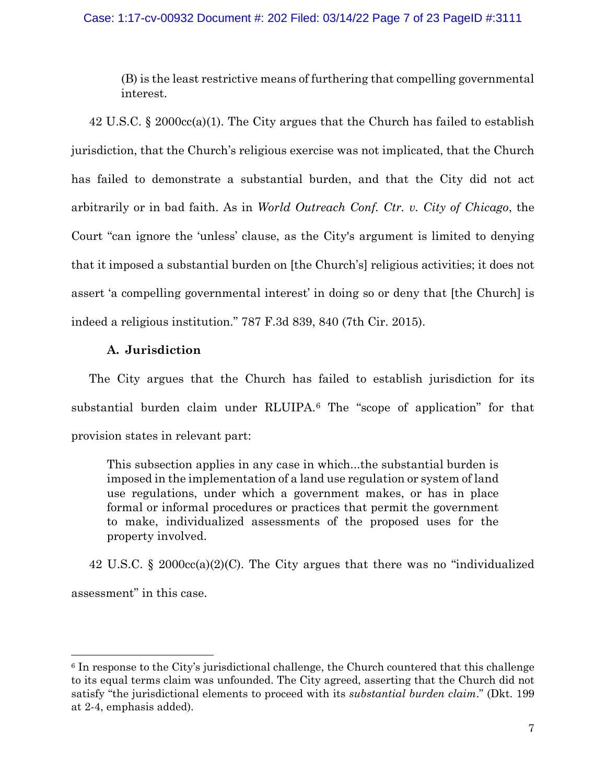# Case: 1:17-cv-00932 Document #: 202 Filed: 03/14/22 Page 7 of 23 PageID #:3111

(B) is the least restrictive means of furthering that compelling governmental interest.

42 U.S.C. § 2000cc(a)(1). The City argues that the Church has failed to establish jurisdiction, that the Church's religious exercise was not implicated, that the Church has failed to demonstrate a substantial burden, and that the City did not act arbitrarily or in bad faith. As in *World Outreach Conf. Ctr. v. City of Chicago*, the Court "can ignore the 'unless' clause, as the City's argument is limited to denying that it imposed a substantial burden on [the Church's] religious activities; it does not assert 'a compelling governmental interest' in doing so or deny that [the Church] is indeed a religious institution." 787 F.3d 839, 840 (7th Cir. 2015).

# **A. Jurisdiction**

The City argues that the Church has failed to establish jurisdiction for its substantial burden claim under RLUIPA.[6](#page-6-0) The "scope of application" for that provision states in relevant part:

This subsection applies in any case in which...the substantial burden is imposed in the implementation of a land use regulation or system of land use regulations, under which a government makes, or has in place formal or informal procedures or practices that permit the government to make, individualized assessments of the proposed uses for the property involved.

42 U.S.C. § 2000cc(a)(2)(C). The City argues that there was no "individualized assessment" in this case.

<span id="page-6-0"></span><sup>6</sup> In response to the City's jurisdictional challenge, the Church countered that this challenge to its equal terms claim was unfounded. The City agreed, asserting that the Church did not satisfy "the jurisdictional elements to proceed with its *substantial burden claim*." (Dkt. 199 at 2-4, emphasis added).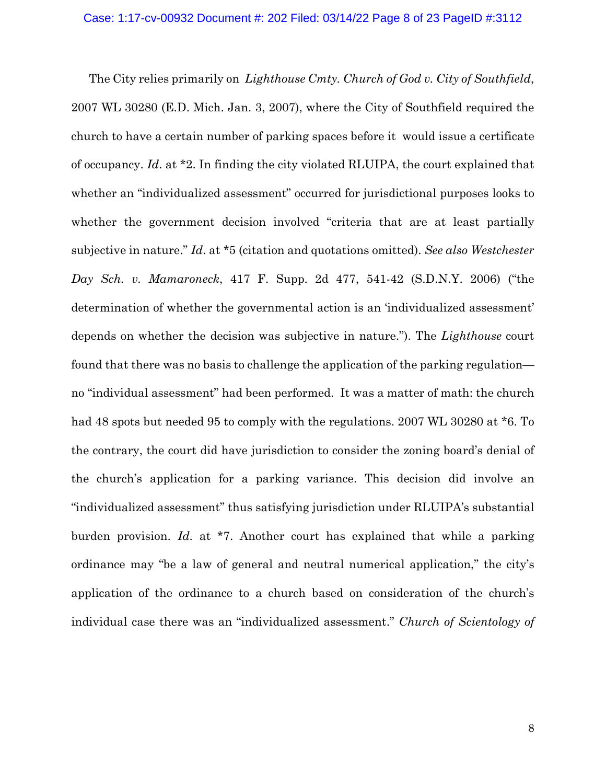The City relies primarily on *Lighthouse Cmty. Church of God v. City of Southfield*, 2007 WL 30280 (E.D. Mich. Jan. 3, 2007), where the City of Southfield required the church to have a certain number of parking spaces before it would issue a certificate of occupancy. *Id*. at \*2. In finding the city violated RLUIPA, the court explained that whether an "individualized assessment" occurred for jurisdictional purposes looks to whether the government decision involved "criteria that are at least partially subjective in nature." *Id*. at \*5 (citation and quotations omitted). *See also Westchester Day Sch. v. Mamaroneck*, 417 F. Supp. 2d 477, 541-42 (S.D.N.Y. 2006) ("the determination of whether the governmental action is an 'individualized assessment' depends on whether the decision was subjective in nature."). The *Lighthouse* court found that there was no basis to challenge the application of the parking regulation no "individual assessment" had been performed. It was a matter of math: the church had 48 spots but needed 95 to comply with the regulations. 2007 WL 30280 at  $*6$ . To the contrary, the court did have jurisdiction to consider the zoning board's denial of the church's application for a parking variance. This decision did involve an "individualized assessment" thus satisfying jurisdiction under RLUIPA's substantial burden provision. *Id*. at \*7. Another court has explained that while a parking ordinance may "be a law of general and neutral numerical application," the city's application of the ordinance to a church based on consideration of the church's individual case there was an "individualized assessment." *Church of Scientology of*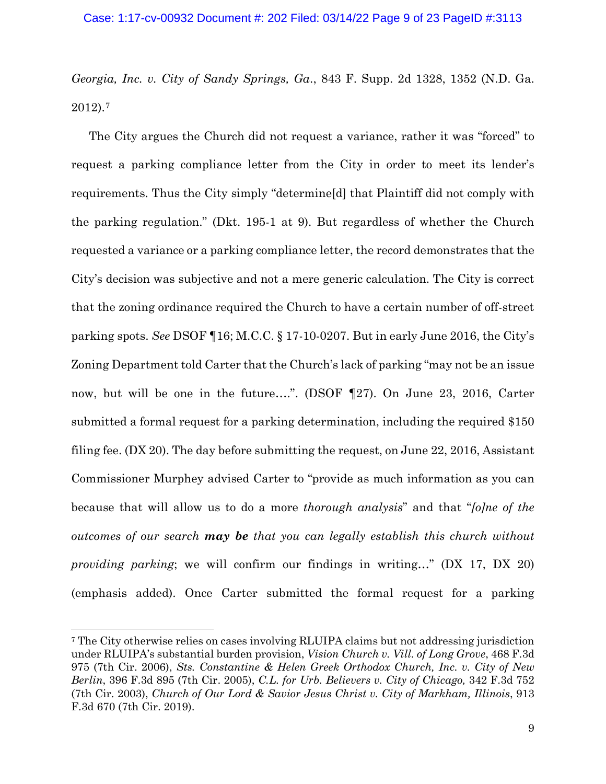*Georgia, Inc. v. City of Sandy Springs, Ga*., 843 F. Supp. 2d 1328, 1352 (N.D. Ga. 2012).[7](#page-8-0)

The City argues the Church did not request a variance, rather it was "forced" to request a parking compliance letter from the City in order to meet its lender's requirements. Thus the City simply "determine[d] that Plaintiff did not comply with the parking regulation." (Dkt. 195-1 at 9). But regardless of whether the Church requested a variance or a parking compliance letter, the record demonstrates that the City's decision was subjective and not a mere generic calculation. The City is correct that the zoning ordinance required the Church to have a certain number of off-street parking spots. *See* DSOF ¶16; M.C.C. § 17-10-0207. But in early June 2016, the City's Zoning Department told Carter that the Church's lack of parking "may not be an issue now, but will be one in the future….". (DSOF ¶27). On June 23, 2016, Carter submitted a formal request for a parking determination, including the required \$150 filing fee. (DX 20). The day before submitting the request, on June 22, 2016, Assistant Commissioner Murphey advised Carter to "provide as much information as you can because that will allow us to do a more *thorough analysis*" and that "*[o]ne of the outcomes of our search may be that you can legally establish this church without providing parking*; we will confirm our findings in writing…" (DX 17, DX 20) (emphasis added). Once Carter submitted the formal request for a parking

<span id="page-8-0"></span><sup>7</sup> The City otherwise relies on cases involving RLUIPA claims but not addressing jurisdiction under RLUIPA's substantial burden provision, *Vision Church v. Vill. of Long Grove*, 468 F.3d 975 (7th Cir. 2006), *Sts. Constantine & Helen Greek Orthodox Church, Inc. v. City of New Berlin*, 396 F.3d 895 (7th Cir. 2005), *C.L. for Urb. Believers v. City of Chicago,* 342 F.3d 752 (7th Cir. 2003), *Church of Our Lord & Savior Jesus Christ v. City of Markham, Illinois*, 913 F.3d 670 (7th Cir. 2019).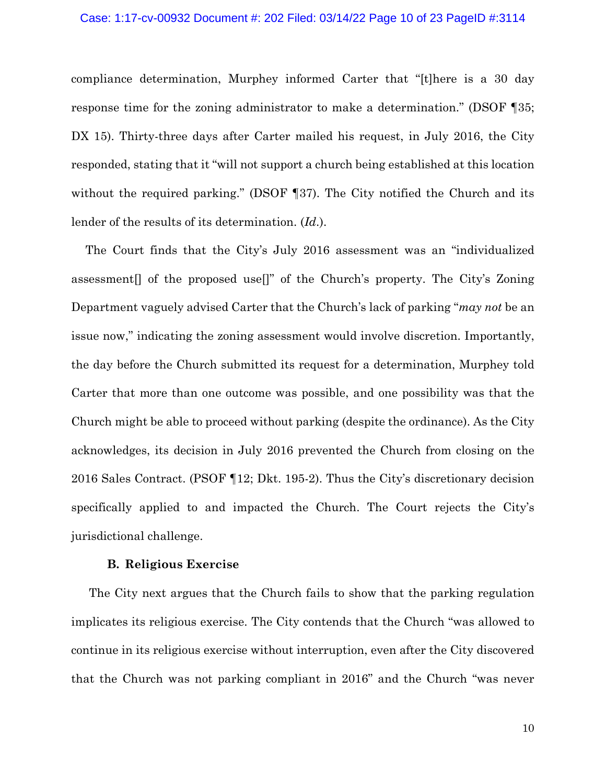#### Case: 1:17-cv-00932 Document #: 202 Filed: 03/14/22 Page 10 of 23 PageID #:3114

compliance determination, Murphey informed Carter that "[t]here is a 30 day response time for the zoning administrator to make a determination." (DSOF ¶35; DX 15). Thirty-three days after Carter mailed his request, in July 2016, the City responded, stating that it "will not support a church being established at this location without the required parking." (DSOF 137). The City notified the Church and its lender of the results of its determination. (*Id*.).

The Court finds that the City's July 2016 assessment was an "individualized assessment[] of the proposed use[]" of the Church's property. The City's Zoning Department vaguely advised Carter that the Church's lack of parking "*may not* be an issue now," indicating the zoning assessment would involve discretion. Importantly, the day before the Church submitted its request for a determination, Murphey told Carter that more than one outcome was possible, and one possibility was that the Church might be able to proceed without parking (despite the ordinance). As the City acknowledges, its decision in July 2016 prevented the Church from closing on the 2016 Sales Contract. (PSOF ¶12; Dkt. 195-2). Thus the City's discretionary decision specifically applied to and impacted the Church. The Court rejects the City's jurisdictional challenge.

### **B. Religious Exercise**

The City next argues that the Church fails to show that the parking regulation implicates its religious exercise. The City contends that the Church "was allowed to continue in its religious exercise without interruption, even after the City discovered that the Church was not parking compliant in 2016" and the Church "was never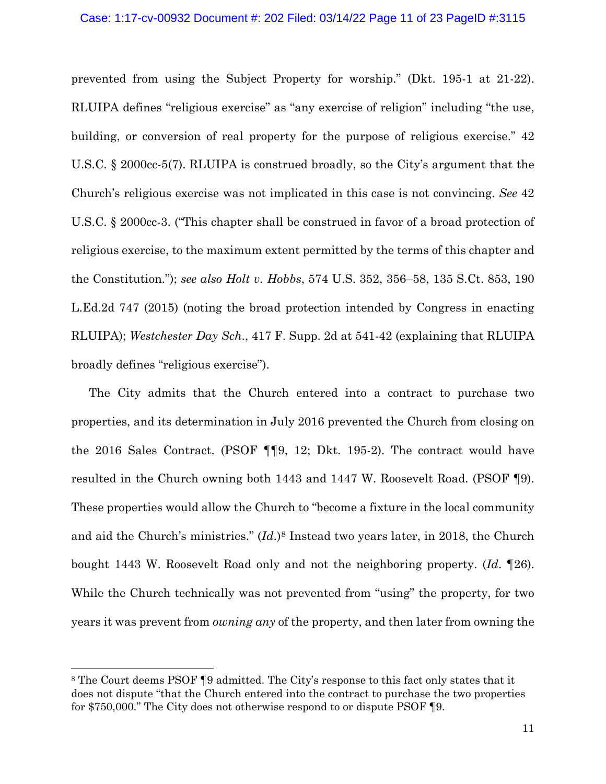### Case: 1:17-cv-00932 Document #: 202 Filed: 03/14/22 Page 11 of 23 PageID #:3115

prevented from using the Subject Property for worship." (Dkt. 195-1 at 21-22). RLUIPA defines "religious exercise" as "any exercise of religion" including "the use, building, or conversion of real property for the purpose of religious exercise." 42 U.S.C. § 2000cc-5(7). RLUIPA is construed broadly, so the City's argument that the Church's religious exercise was not implicated in this case is not convincing. *See* 42 U.S.C. § 2000cc-3. ("This chapter shall be construed in favor of a broad protection of religious exercise, to the maximum extent permitted by the terms of this chapter and the Constitution."); *see also Holt v. Hobbs*, 574 U.S. 352, 356–58, 135 S.Ct. 853, 190 L.Ed.2d 747 (2015) (noting the broad protection intended by Congress in enacting RLUIPA); *Westchester Day Sch*., 417 F. Supp. 2d at 541-42 (explaining that RLUIPA broadly defines "religious exercise").

The City admits that the Church entered into a contract to purchase two properties, and its determination in July 2016 prevented the Church from closing on the 2016 Sales Contract. (PSOF ¶¶9, 12; Dkt. 195-2). The contract would have resulted in the Church owning both 1443 and 1447 W. Roosevelt Road. (PSOF ¶9). These properties would allow the Church to "become a fixture in the local community and aid the Church's ministries." (*Id*.)[8](#page-10-0) Instead two years later, in 2018, the Church bought 1443 W. Roosevelt Road only and not the neighboring property. (*Id*. ¶26). While the Church technically was not prevented from "using" the property, for two years it was prevent from *owning any* of the property, and then later from owning the

<span id="page-10-0"></span><sup>8</sup> The Court deems PSOF ¶9 admitted. The City's response to this fact only states that it does not dispute "that the Church entered into the contract to purchase the two properties for \$750,000." The City does not otherwise respond to or dispute PSOF ¶9.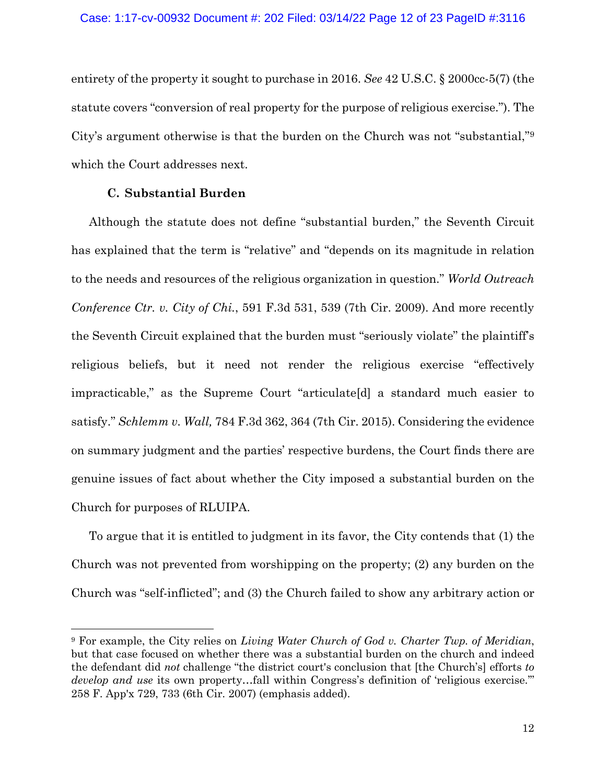entirety of the property it sought to purchase in 2016. *See* 42 U.S.C. § 2000cc-5(7) (the statute covers "conversion of real property for the purpose of religious exercise."). The City's argument otherwise is that the burden on the Church was not "substantial,"[9](#page-11-0) which the Court addresses next.

# **C. Substantial Burden**

Although the statute does not define "substantial burden," the Seventh Circuit has explained that the term is "relative" and "depends on its magnitude in relation to the needs and resources of the religious organization in question." *World Outreach Conference Ctr. v. City of Chi.*, 591 F.3d 531, 539 (7th Cir. 2009). And more recently the Seventh Circuit explained that the burden must "seriously violate" the plaintiff's religious beliefs, but it need not render the religious exercise "effectively impracticable," as the Supreme Court "articulate[d] a standard much easier to satisfy." *Schlemm v. Wall,* 784 F.3d 362, 364 (7th Cir. 2015). Considering the evidence on summary judgment and the parties' respective burdens, the Court finds there are genuine issues of fact about whether the City imposed a substantial burden on the Church for purposes of RLUIPA.

To argue that it is entitled to judgment in its favor, the City contends that (1) the Church was not prevented from worshipping on the property; (2) any burden on the Church was "self-inflicted"; and (3) the Church failed to show any arbitrary action or

<span id="page-11-0"></span><sup>9</sup> For example, the City relies on *Living Water Church of God v. Charter Twp. of Meridian*, but that case focused on whether there was a substantial burden on the church and indeed the defendant did *not* challenge "the district court's conclusion that [the Church's] efforts *to develop and use* its own property…fall within Congress's definition of 'religious exercise.'" 258 F. App'x 729, 733 (6th Cir. 2007) (emphasis added).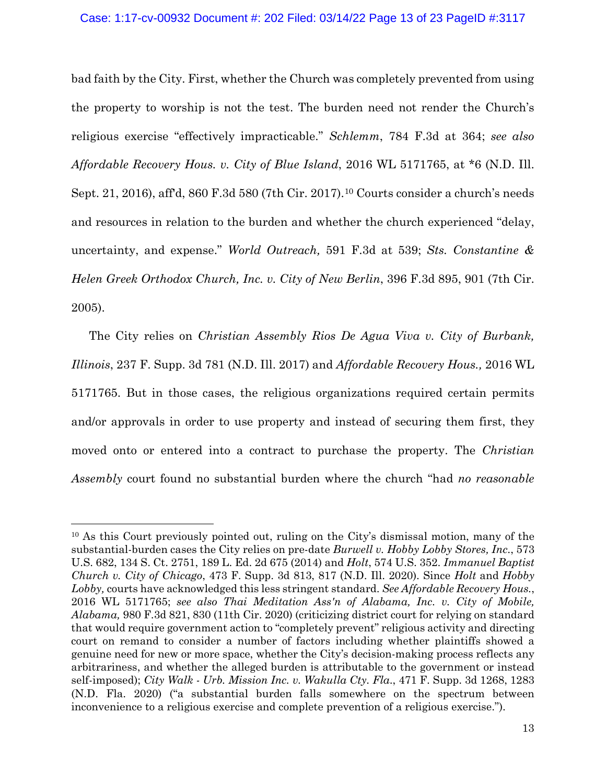#### Case: 1:17-cv-00932 Document #: 202 Filed: 03/14/22 Page 13 of 23 PageID #:3117

bad faith by the City. First, whether the Church was completely prevented from using the property to worship is not the test. The burden need not render the Church's religious exercise "effectively impracticable." *Schlemm*, 784 F.3d at 364; *see also Affordable Recovery Hous. v. City of Blue Island*, 2016 WL 5171765, at \*6 (N.D. Ill. Sept. 21, 2016), aff'd, 860 F.3d 580 (7th Cir. 2017).[10](#page-12-0) Courts consider a church's needs and resources in relation to the burden and whether the church experienced "delay, uncertainty, and expense." *World Outreach,* 591 F.3d at 539; *Sts. Constantine & Helen Greek Orthodox Church, Inc. v. City of New Berlin*, 396 F.3d 895, 901 (7th Cir. 2005).

The City relies on *Christian Assembly Rios De Agua Viva v. City of Burbank, Illinois*, 237 F. Supp. 3d 781 (N.D. Ill. 2017) and *Affordable Recovery Hous.,* 2016 WL 5171765. But in those cases, the religious organizations required certain permits and/or approvals in order to use property and instead of securing them first, they moved onto or entered into a contract to purchase the property. The *Christian Assembly* court found no substantial burden where the church "had *no reasonable* 

<span id="page-12-0"></span><sup>10</sup> As this Court previously pointed out, ruling on the City's dismissal motion, many of the substantial-burden cases the City relies on pre-date *Burwell v. Hobby Lobby Stores, Inc*., 573 U.S. 682, 134 S. Ct. 2751, 189 L. Ed. 2d 675 (2014) and *Holt*, 574 U.S. 352. *Immanuel Baptist Church v. City of Chicago*, 473 F. Supp. 3d 813, 817 (N.D. Ill. 2020). Since *Holt* and *Hobby Lobby,* courts have acknowledged this less stringent standard. *See Affordable Recovery Hous.*, 2016 WL 5171765; *see also Thai Meditation Ass'n of Alabama, Inc. v. City of Mobile, Alabama,* 980 F.3d 821, 830 (11th Cir. 2020) (criticizing district court for relying on standard that would require government action to "completely prevent" religious activity and directing court on remand to consider a number of factors including whether plaintiffs showed a genuine need for new or more space, whether the City's decision-making process reflects any arbitrariness, and whether the alleged burden is attributable to the government or instead self-imposed); *City Walk - Urb. Mission Inc. v. Wakulla Cty. Fla*., 471 F. Supp. 3d 1268, 1283 (N.D. Fla. 2020) ("a substantial burden falls somewhere on the spectrum between inconvenience to a religious exercise and complete prevention of a religious exercise.").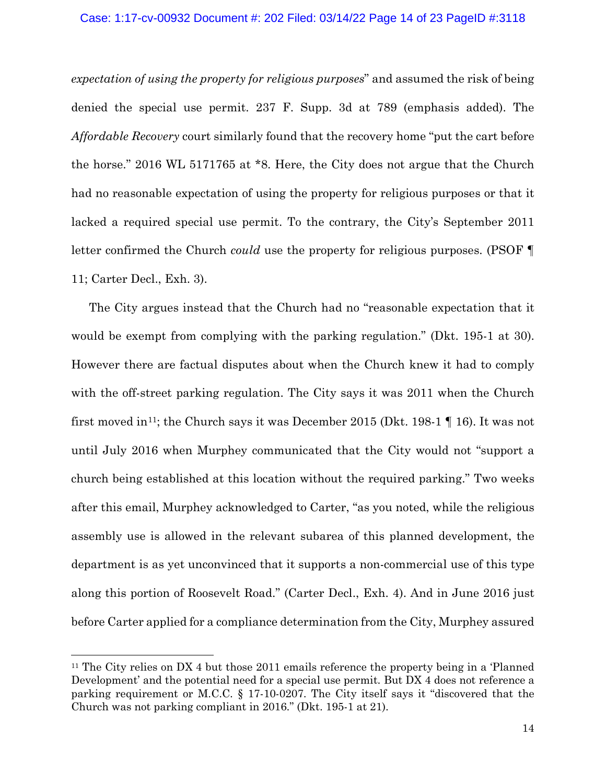### Case: 1:17-cv-00932 Document #: 202 Filed: 03/14/22 Page 14 of 23 PageID #:3118

*expectation of using the property for religious purposes*" and assumed the risk of being denied the special use permit. 237 F. Supp. 3d at 789 (emphasis added). The *Affordable Recovery* court similarly found that the recovery home "put the cart before the horse." 2016 WL 5171765 at \*8. Here, the City does not argue that the Church had no reasonable expectation of using the property for religious purposes or that it lacked a required special use permit. To the contrary, the City's September 2011 letter confirmed the Church *could* use the property for religious purposes. (PSOF ¶ 11; Carter Decl., Exh. 3).

The City argues instead that the Church had no "reasonable expectation that it would be exempt from complying with the parking regulation." (Dkt. 195-1 at 30). However there are factual disputes about when the Church knew it had to comply with the off-street parking regulation. The City says it was 2011 when the Church first moved in<sup>11</sup>; the Church says it was December 2015 (Dkt. 198-1  $\P$  16). It was not until July 2016 when Murphey communicated that the City would not "support a church being established at this location without the required parking." Two weeks after this email, Murphey acknowledged to Carter, "as you noted, while the religious assembly use is allowed in the relevant subarea of this planned development, the department is as yet unconvinced that it supports a non-commercial use of this type along this portion of Roosevelt Road." (Carter Decl., Exh. 4). And in June 2016 just before Carter applied for a compliance determination from the City, Murphey assured

<span id="page-13-0"></span><sup>11</sup> The City relies on DX 4 but those 2011 emails reference the property being in a 'Planned Development' and the potential need for a special use permit. But DX 4 does not reference a parking requirement or M.C.C. § 17-10-0207. The City itself says it "discovered that the Church was not parking compliant in 2016." (Dkt. 195-1 at 21).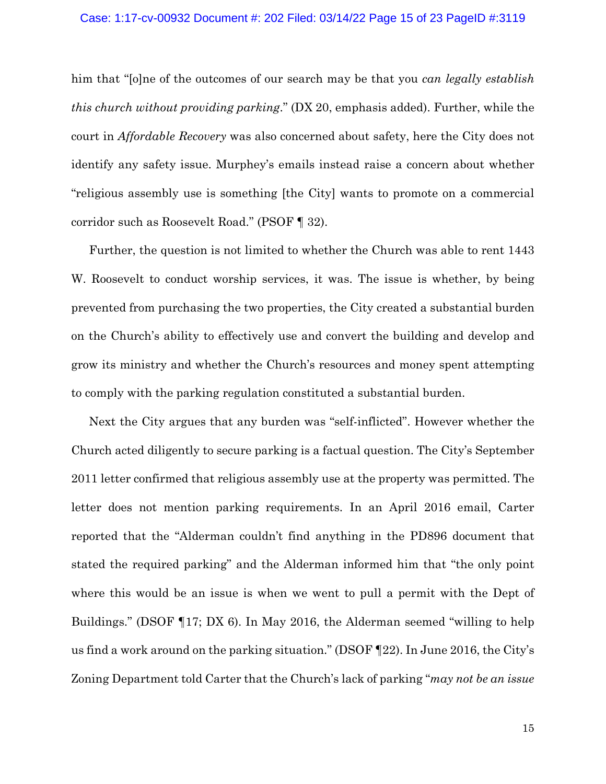# Case: 1:17-cv-00932 Document #: 202 Filed: 03/14/22 Page 15 of 23 PageID #:3119

him that "[o]ne of the outcomes of our search may be that you *can legally establish this church without providing parking*." (DX 20, emphasis added). Further, while the court in *Affordable Recovery* was also concerned about safety, here the City does not identify any safety issue. Murphey's emails instead raise a concern about whether "religious assembly use is something [the City] wants to promote on a commercial corridor such as Roosevelt Road." (PSOF ¶ 32).

Further, the question is not limited to whether the Church was able to rent 1443 W. Roosevelt to conduct worship services, it was. The issue is whether, by being prevented from purchasing the two properties, the City created a substantial burden on the Church's ability to effectively use and convert the building and develop and grow its ministry and whether the Church's resources and money spent attempting to comply with the parking regulation constituted a substantial burden.

Next the City argues that any burden was "self-inflicted". However whether the Church acted diligently to secure parking is a factual question. The City's September 2011 letter confirmed that religious assembly use at the property was permitted. The letter does not mention parking requirements. In an April 2016 email, Carter reported that the "Alderman couldn't find anything in the PD896 document that stated the required parking" and the Alderman informed him that "the only point where this would be an issue is when we went to pull a permit with the Dept of Buildings." (DSOF ¶17; DX 6). In May 2016, the Alderman seemed "willing to help us find a work around on the parking situation." (DSOF ¶22). In June 2016, the City's Zoning Department told Carter that the Church's lack of parking "*may not be an issue*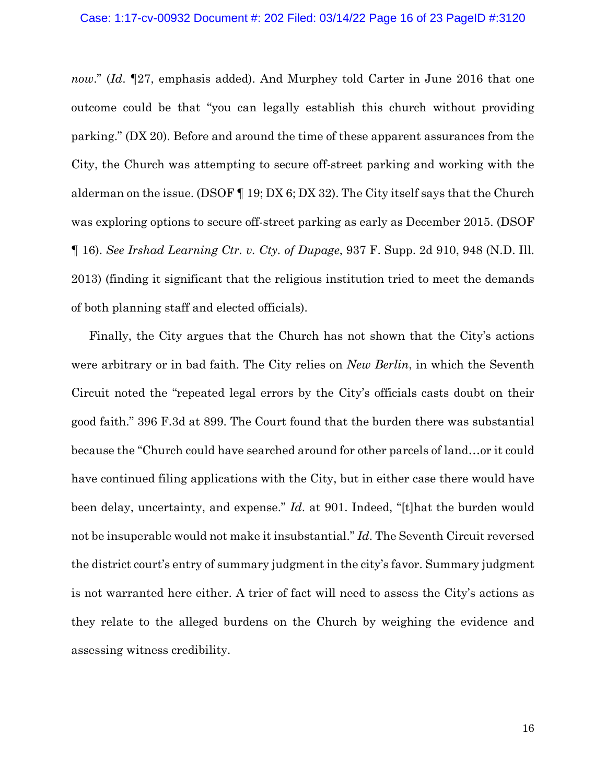*now*." (*Id*. ¶27, emphasis added). And Murphey told Carter in June 2016 that one outcome could be that "you can legally establish this church without providing parking." (DX 20). Before and around the time of these apparent assurances from the City, the Church was attempting to secure off-street parking and working with the alderman on the issue. (DSOF  $\P$  19; DX 6; DX 32). The City itself says that the Church was exploring options to secure off-street parking as early as December 2015. (DSOF ¶ 16). *See Irshad Learning Ctr. v. Cty. of Dupage*, 937 F. Supp. 2d 910, 948 (N.D. Ill. 2013) (finding it significant that the religious institution tried to meet the demands of both planning staff and elected officials).

Finally, the City argues that the Church has not shown that the City's actions were arbitrary or in bad faith. The City relies on *New Berlin*, in which the Seventh Circuit noted the "repeated legal errors by the City's officials casts doubt on their good faith." 396 F.3d at 899. The Court found that the burden there was substantial because the "Church could have searched around for other parcels of land…or it could have continued filing applications with the City, but in either case there would have been delay, uncertainty, and expense." *Id*. at 901. Indeed, "[t]hat the burden would not be insuperable would not make it insubstantial." *Id*. The Seventh Circuit reversed the district court's entry of summary judgment in the city's favor. Summary judgment is not warranted here either. A trier of fact will need to assess the City's actions as they relate to the alleged burdens on the Church by weighing the evidence and assessing witness credibility.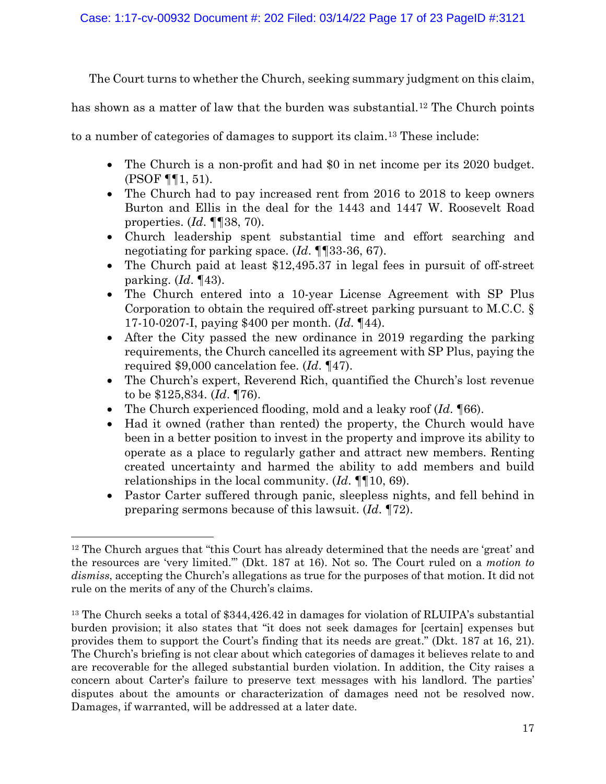The Court turns to whether the Church, seeking summary judgment on this claim,

has shown as a matter of law that the burden was substantial.<sup>[12](#page-16-0)</sup> The Church points

to a number of categories of damages to support its claim.[13](#page-16-1) These include:

- The Church is a non-profit and had \$0 in net income per its 2020 budget. (PSOF ¶¶1, 51).
- The Church had to pay increased rent from 2016 to 2018 to keep owners Burton and Ellis in the deal for the 1443 and 1447 W. Roosevelt Road properties. (*Id*. ¶¶38, 70).
- Church leadership spent substantial time and effort searching and negotiating for parking space. (*Id*. ¶¶33-36, 67).
- The Church paid at least \$12,495.37 in legal fees in pursuit of off-street parking. (*Id*. ¶43).
- The Church entered into a 10-year License Agreement with SP Plus Corporation to obtain the required off-street parking pursuant to M.C.C. § 17-10-0207-I, paying \$400 per month. (*Id*. ¶44).
- After the City passed the new ordinance in 2019 regarding the parking requirements, the Church cancelled its agreement with SP Plus, paying the required \$9,000 cancelation fee. (*Id*. ¶47).
- The Church's expert, Reverend Rich, quantified the Church's lost revenue to be \$125,834. (*Id*. ¶76).
- The Church experienced flooding, mold and a leaky roof (*Id*. ¶66).
- Had it owned (rather than rented) the property, the Church would have been in a better position to invest in the property and improve its ability to operate as a place to regularly gather and attract new members. Renting created uncertainty and harmed the ability to add members and build relationships in the local community. (*Id*. ¶¶10, 69).
- Pastor Carter suffered through panic, sleepless nights, and fell behind in preparing sermons because of this lawsuit. (*Id*. ¶72).

<span id="page-16-0"></span><sup>&</sup>lt;sup>12</sup> The Church argues that "this Court has already determined that the needs are 'great' and the resources are 'very limited.'" (Dkt. 187 at 16). Not so. The Court ruled on a *motion to dismiss*, accepting the Church's allegations as true for the purposes of that motion. It did not rule on the merits of any of the Church's claims.

<span id="page-16-1"></span><sup>&</sup>lt;sup>13</sup> The Church seeks a total of \$344,426.42 in damages for violation of RLUIPA's substantial burden provision; it also states that "it does not seek damages for [certain] expenses but provides them to support the Court's finding that its needs are great." (Dkt. 187 at 16, 21). The Church's briefing is not clear about which categories of damages it believes relate to and are recoverable for the alleged substantial burden violation. In addition, the City raises a concern about Carter's failure to preserve text messages with his landlord. The parties' disputes about the amounts or characterization of damages need not be resolved now. Damages, if warranted, will be addressed at a later date.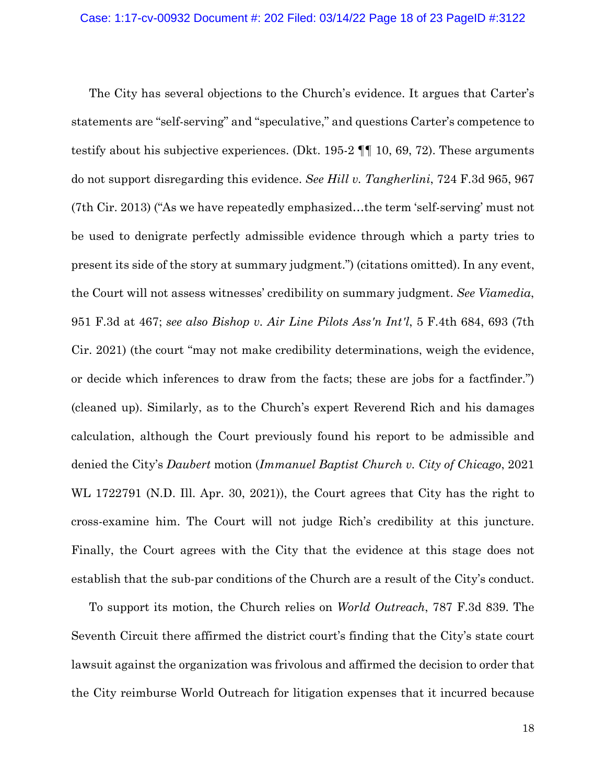The City has several objections to the Church's evidence. It argues that Carter's statements are "self-serving" and "speculative," and questions Carter's competence to testify about his subjective experiences. (Dkt. 195-2 ¶¶ 10, 69, 72). These arguments do not support disregarding this evidence. *See Hill v. Tangherlini*, 724 F.3d 965, 967 (7th Cir. 2013) ("As we have repeatedly emphasized…the term 'self-serving' must not be used to denigrate perfectly admissible evidence through which a party tries to present its side of the story at summary judgment.") (citations omitted). In any event, the Court will not assess witnesses' credibility on summary judgment. *See Viamedia*, 951 F.3d at 467; *see also Bishop v. Air Line Pilots Ass'n Int'l*, 5 F.4th 684, 693 (7th Cir. 2021) (the court "may not make credibility determinations, weigh the evidence, or decide which inferences to draw from the facts; these are jobs for a factfinder.") (cleaned up). Similarly, as to the Church's expert Reverend Rich and his damages calculation, although the Court previously found his report to be admissible and denied the City's *Daubert* motion (*Immanuel Baptist Church v. City of Chicago*, 2021 WL 1722791 (N.D. Ill. Apr. 30, 2021)), the Court agrees that City has the right to cross-examine him. The Court will not judge Rich's credibility at this juncture. Finally, the Court agrees with the City that the evidence at this stage does not establish that the sub-par conditions of the Church are a result of the City's conduct.

To support its motion, the Church relies on *World Outreach*, 787 F.3d 839. The Seventh Circuit there affirmed the district court's finding that the City's state court lawsuit against the organization was frivolous and affirmed the decision to order that the City reimburse World Outreach for litigation expenses that it incurred because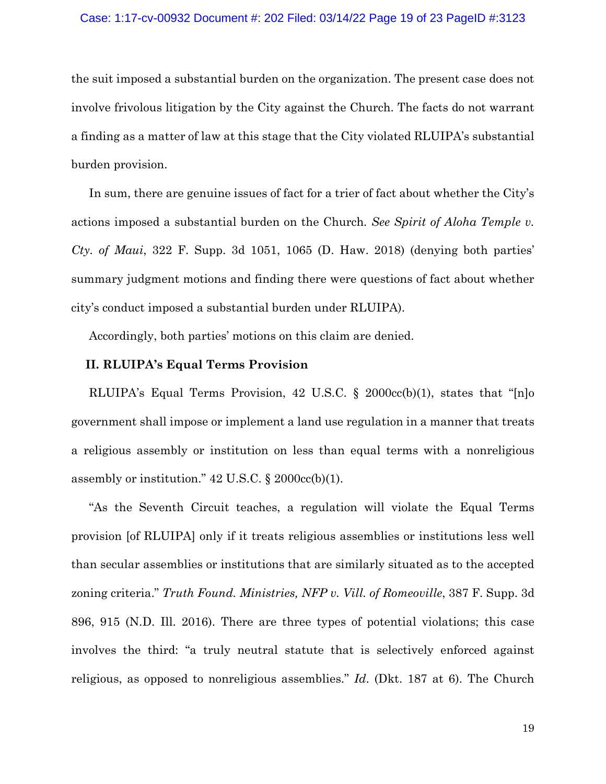#### Case: 1:17-cv-00932 Document #: 202 Filed: 03/14/22 Page 19 of 23 PageID #:3123

the suit imposed a substantial burden on the organization. The present case does not involve frivolous litigation by the City against the Church. The facts do not warrant a finding as a matter of law at this stage that the City violated RLUIPA's substantial burden provision.

In sum, there are genuine issues of fact for a trier of fact about whether the City's actions imposed a substantial burden on the Church*. See Spirit of Aloha Temple v. Cty. of Maui*, 322 F. Supp. 3d 1051, 1065 (D. Haw. 2018) (denying both parties' summary judgment motions and finding there were questions of fact about whether city's conduct imposed a substantial burden under RLUIPA).

Accordingly, both parties' motions on this claim are denied.

# **II. RLUIPA's Equal Terms Provision**

RLUIPA's Equal Terms Provision, 42 U.S.C. § 2000cc(b)(1), states that "[n]o government shall impose or implement a land use regulation in a manner that treats a religious assembly or institution on less than equal terms with a nonreligious assembly or institution."  $42 \text{ U.S.C.}$  §  $2000 \text{cc(b)}(1)$ .

"As the Seventh Circuit teaches, a regulation will violate the Equal Terms provision [of RLUIPA] only if it treats religious assemblies or institutions less well than secular assemblies or institutions that are similarly situated as to the accepted zoning criteria." *Truth Found. Ministries, NFP v. Vill. of Romeoville*, 387 F. Supp. 3d 896, 915 (N.D. Ill. 2016). There are three types of potential violations; this case involves the third: "a truly neutral statute that is selectively enforced against religious, as opposed to nonreligious assemblies." *Id*. (Dkt. 187 at 6). The Church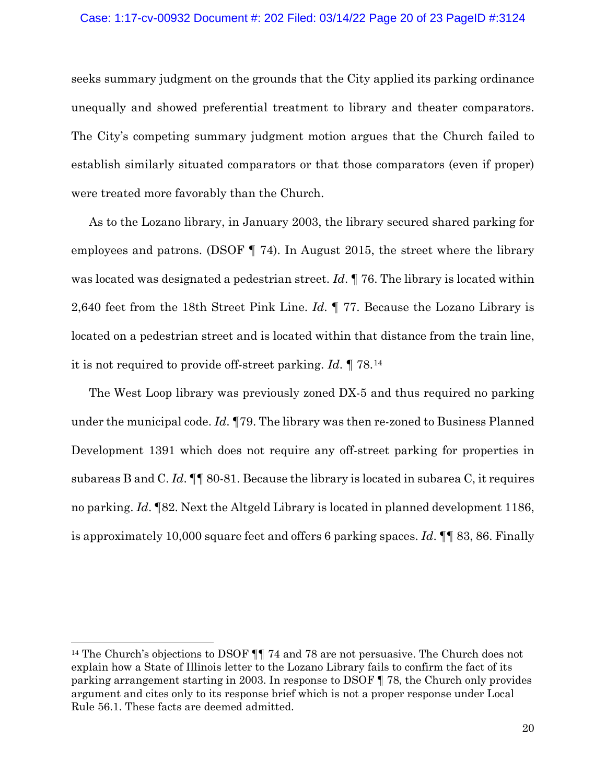# Case: 1:17-cv-00932 Document #: 202 Filed: 03/14/22 Page 20 of 23 PageID #:3124

seeks summary judgment on the grounds that the City applied its parking ordinance unequally and showed preferential treatment to library and theater comparators. The City's competing summary judgment motion argues that the Church failed to establish similarly situated comparators or that those comparators (even if proper) were treated more favorably than the Church.

As to the Lozano library, in January 2003, the library secured shared parking for employees and patrons. (DSOF ¶ 74). In August 2015, the street where the library was located was designated a pedestrian street. *Id*. ¶ 76. The library is located within 2,640 feet from the 18th Street Pink Line. *Id*. ¶ 77. Because the Lozano Library is located on a pedestrian street and is located within that distance from the train line, it is not required to provide off-street parking. *Id*. ¶ 78.[14](#page-19-0)

The West Loop library was previously zoned DX-5 and thus required no parking under the municipal code. *Id*. ¶79. The library was then re-zoned to Business Planned Development 1391 which does not require any off-street parking for properties in subareas B and C. *Id*. ¶¶ 80-81. Because the library is located in subarea C, it requires no parking. *Id*. ¶82. Next the Altgeld Library is located in planned development 1186, is approximately 10,000 square feet and offers 6 parking spaces. *Id*. ¶¶ 83, 86. Finally

<span id="page-19-0"></span><sup>&</sup>lt;sup>14</sup> The Church's objections to DSOF  $\P\P$  74 and 78 are not persuasive. The Church does not explain how a State of Illinois letter to the Lozano Library fails to confirm the fact of its parking arrangement starting in 2003. In response to DSOF ¶ 78, the Church only provides argument and cites only to its response brief which is not a proper response under Local Rule 56.1. These facts are deemed admitted.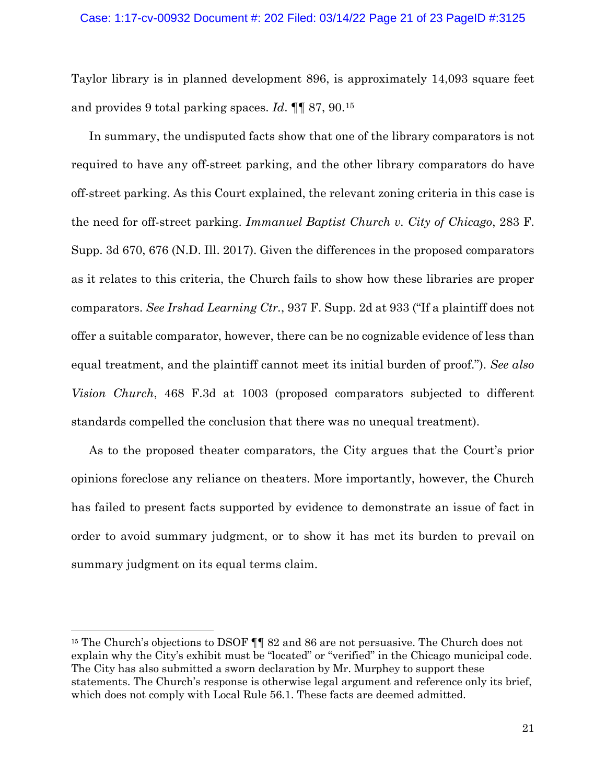Taylor library is in planned development 896, is approximately 14,093 square feet and provides 9 total parking spaces. *Id*. ¶¶ 87, 90.[15](#page-20-0)

In summary, the undisputed facts show that one of the library comparators is not required to have any off-street parking, and the other library comparators do have off-street parking. As this Court explained, the relevant zoning criteria in this case is the need for off-street parking. *Immanuel Baptist Church v. City of Chicago*, 283 F. Supp. 3d 670, 676 (N.D. Ill. 2017). Given the differences in the proposed comparators as it relates to this criteria, the Church fails to show how these libraries are proper comparators. *See Irshad Learning Ctr.*, 937 F. Supp. 2d at 933 ("If a plaintiff does not offer a suitable comparator, however, there can be no cognizable evidence of less than equal treatment, and the plaintiff cannot meet its initial burden of proof."). *See also Vision Church*, 468 F.3d at 1003 (proposed comparators subjected to different standards compelled the conclusion that there was no unequal treatment).

As to the proposed theater comparators, the City argues that the Court's prior opinions foreclose any reliance on theaters. More importantly, however, the Church has failed to present facts supported by evidence to demonstrate an issue of fact in order to avoid summary judgment, or to show it has met its burden to prevail on summary judgment on its equal terms claim.

<span id="page-20-0"></span><sup>&</sup>lt;sup>15</sup> The Church's objections to DSOF  $\P\P$  82 and 86 are not persuasive. The Church does not explain why the City's exhibit must be "located" or "verified" in the Chicago municipal code. The City has also submitted a sworn declaration by Mr. Murphey to support these statements. The Church's response is otherwise legal argument and reference only its brief, which does not comply with Local Rule 56.1. These facts are deemed admitted.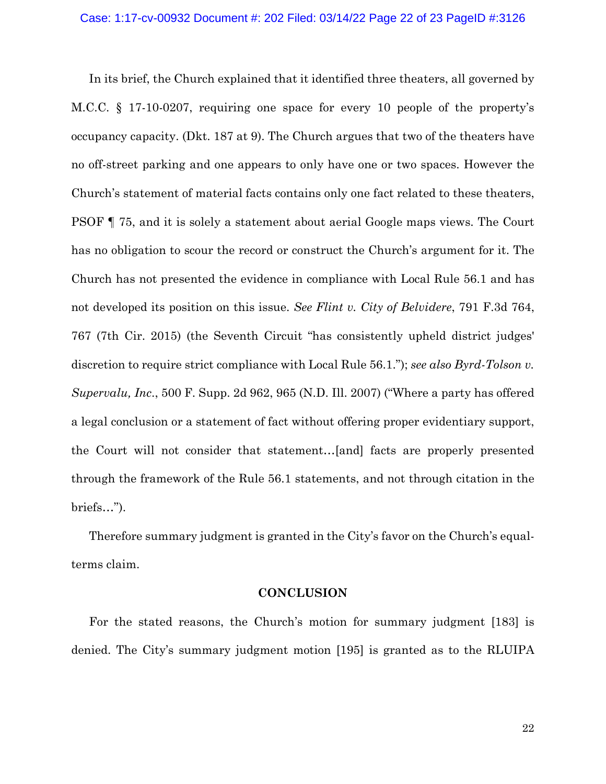In its brief, the Church explained that it identified three theaters, all governed by M.C.C. § 17-10-0207, requiring one space for every 10 people of the property's occupancy capacity. (Dkt. 187 at 9). The Church argues that two of the theaters have no off-street parking and one appears to only have one or two spaces. However the Church's statement of material facts contains only one fact related to these theaters, PSOF ¶ 75, and it is solely a statement about aerial Google maps views. The Court has no obligation to scour the record or construct the Church's argument for it. The Church has not presented the evidence in compliance with Local Rule 56.1 and has not developed its position on this issue. *See Flint v. City of Belvidere*, 791 F.3d 764, 767 (7th Cir. 2015) (the Seventh Circuit "has consistently upheld district judges' discretion to require strict compliance with Local Rule 56.1."); *see also Byrd-Tolson v. Supervalu, Inc*., 500 F. Supp. 2d 962, 965 (N.D. Ill. 2007) ("Where a party has offered a legal conclusion or a statement of fact without offering proper evidentiary support, the Court will not consider that statement…[and] facts are properly presented through the framework of the Rule 56.1 statements, and not through citation in the briefs…").

Therefore summary judgment is granted in the City's favor on the Church's equalterms claim.

### **CONCLUSION**

For the stated reasons, the Church's motion for summary judgment [183] is denied. The City's summary judgment motion [195] is granted as to the RLUIPA